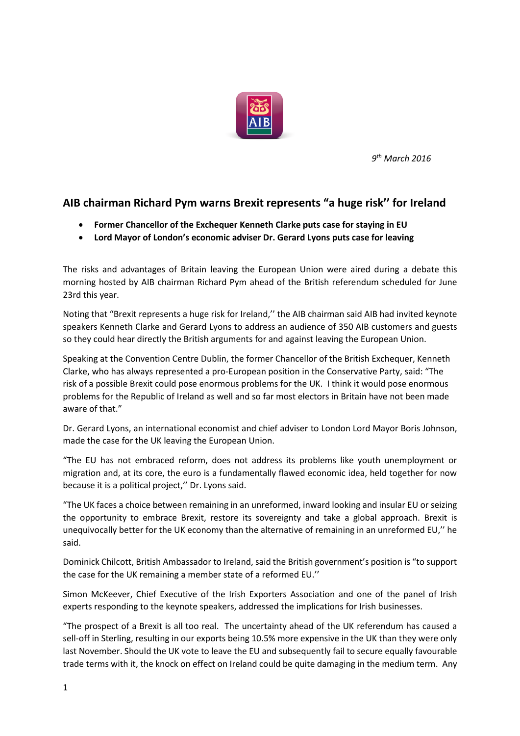

*9 th March 2016*

## **AIB chairman Richard Pym warns Brexit represents "a huge risk'' for Ireland**

- **Former Chancellor of the Exchequer Kenneth Clarke puts case for staying in EU**
- **Lord Mayor of London's economic adviser Dr. Gerard Lyons puts case for leaving**

The risks and advantages of Britain leaving the European Union were aired during a debate this morning hosted by AIB chairman Richard Pym ahead of the British referendum scheduled for June 23rd this year.

Noting that "Brexit represents a huge risk for Ireland,'' the AIB chairman said AIB had invited keynote speakers Kenneth Clarke and Gerard Lyons to address an audience of 350 AIB customers and guests so they could hear directly the British arguments for and against leaving the European Union.

Speaking at the Convention Centre Dublin, the former Chancellor of the British Exchequer, Kenneth Clarke, who has always represented a pro-European position in the Conservative Party, said: "The risk of a possible Brexit could pose enormous problems for the UK. I think it would pose enormous problems for the Republic of Ireland as well and so far most electors in Britain have not been made aware of that."

Dr. Gerard Lyons, an international economist and chief adviser to London Lord Mayor Boris Johnson, made the case for the UK leaving the European Union.

"The EU has not embraced reform, does not address its problems like youth unemployment or migration and, at its core, the euro is a fundamentally flawed economic idea, held together for now because it is a political project,'' Dr. Lyons said.

"The UK faces a choice between remaining in an unreformed, inward looking and insular EU or seizing the opportunity to embrace Brexit, restore its sovereignty and take a global approach. Brexit is unequivocally better for the UK economy than the alternative of remaining in an unreformed EU,'' he said.

Dominick Chilcott, British Ambassador to Ireland, said the British government's position is "to support the case for the UK remaining a member state of a reformed EU.''

Simon McKeever, Chief Executive of the Irish Exporters Association and one of the panel of Irish experts responding to the keynote speakers, addressed the implications for Irish businesses.

"The prospect of a Brexit is all too real. The uncertainty ahead of the UK referendum has caused a sell-off in Sterling, resulting in our exports being 10.5% more expensive in the UK than they were only last November. Should the UK vote to leave the EU and subsequently fail to secure equally favourable trade terms with it, the knock on effect on Ireland could be quite damaging in the medium term. Any